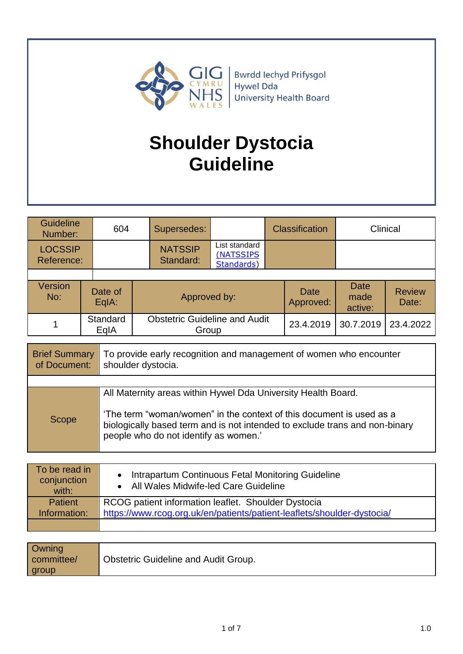

# **Shoulder Dystocia Guideline**

| <b>Guideline</b><br>Number:  | 604              |                             | Supersedes:                                   |                                          | <b>Classification</b> |                   | Clinical                |                        |  |
|------------------------------|------------------|-----------------------------|-----------------------------------------------|------------------------------------------|-----------------------|-------------------|-------------------------|------------------------|--|
| <b>LOCSSIP</b><br>Reference: |                  | <b>NATSSIP</b><br>Standard: |                                               | List standard<br>(NATSSIPS<br>Standards) |                       |                   |                         |                        |  |
|                              |                  |                             |                                               |                                          |                       |                   |                         |                        |  |
| <b>Version</b><br>No:        | Date of<br>EqIA: |                             | Approved by:                                  |                                          |                       | Date<br>Approved: | Date<br>made<br>active: | <b>Review</b><br>Date: |  |
|                              | Standard<br>EqIA |                             | <b>Obstetric Guideline and Audit</b><br>Group |                                          |                       | 23.4.2019         | 30.7.2019               | 23.4.2022              |  |
|                              |                  |                             |                                               |                                          |                       |                   |                         |                        |  |

| <b>Brief Summary</b><br>of Document: | To provide early recognition and management of women who encounter<br>shoulder dystocia.                                                                                                                                                                      |
|--------------------------------------|---------------------------------------------------------------------------------------------------------------------------------------------------------------------------------------------------------------------------------------------------------------|
|                                      |                                                                                                                                                                                                                                                               |
| Scope                                | All Maternity areas within Hywel Dda University Health Board.<br>'The term "woman/women" in the context of this document is used as a<br>biologically based term and is not intended to exclude trans and non-binary<br>people who do not identify as women.' |

| To be read in<br>conjunction<br>with: | Intrapartum Continuous Fetal Monitoring Guideline<br>• All Wales Midwife-led Care Guideline |
|---------------------------------------|---------------------------------------------------------------------------------------------|
| <b>Patient</b>                        | RCOG patient information leaflet. Shoulder Dystocia                                         |
| Information:                          | https://www.rcog.org.uk/en/patients/patient-leaflets/shoulder-dystocia/                     |
|                                       |                                                                                             |

| <b>Owning</b> |                                             |
|---------------|---------------------------------------------|
| committee/    | <b>Obstetric Guideline and Audit Group.</b> |
|               |                                             |
| group         |                                             |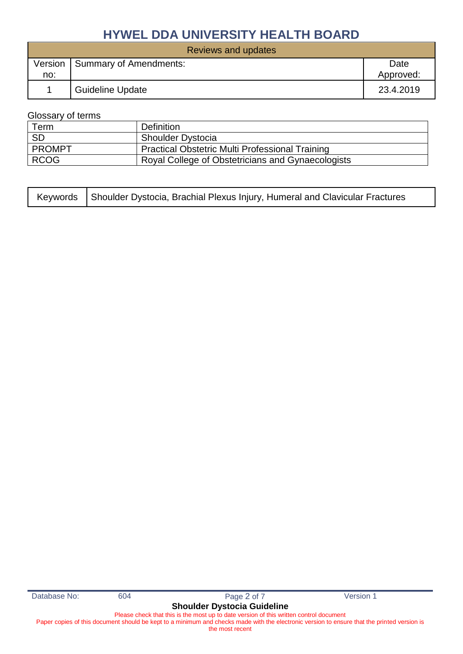| Reviews and updates |                         |           |  |  |  |  |  |
|---------------------|-------------------------|-----------|--|--|--|--|--|
| Version             | Summary of Amendments:  | Date      |  |  |  |  |  |
| no:                 |                         | Approved: |  |  |  |  |  |
|                     | <b>Guideline Update</b> | 23.4.2019 |  |  |  |  |  |

#### Glossary of terms

| Term          | Definition                                             |
|---------------|--------------------------------------------------------|
| <b>SD</b>     | <b>Shoulder Dystocia</b>                               |
| <b>PROMPT</b> | <b>Practical Obstetric Multi Professional Training</b> |
| <b>RCOG</b>   | Royal College of Obstetricians and Gynaecologists      |

| Keywords   Shoulder Dystocia, Brachial Plexus Injury, Humeral and Clavicular Fractures |  |
|----------------------------------------------------------------------------------------|--|
|                                                                                        |  |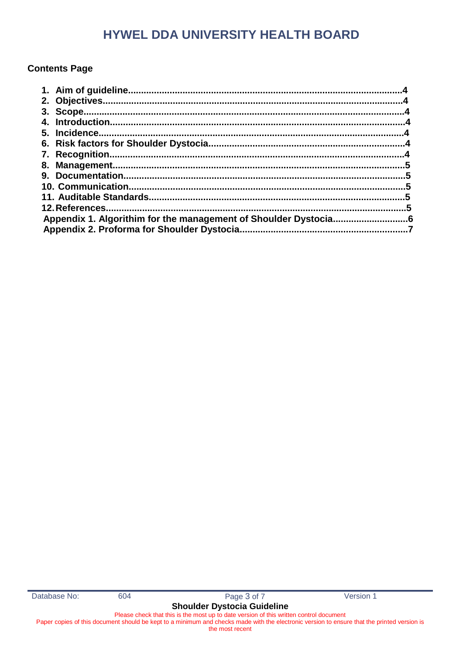### **Contents Page**

|  | .6 |
|--|----|
|  |    |
|  |    |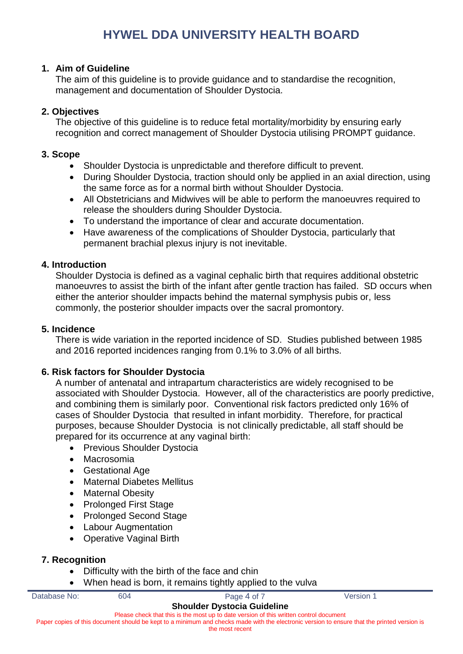#### **1. Aim of Guideline**

The aim of this guideline is to provide guidance and to standardise the recognition, management and documentation of Shoulder Dystocia.

### **2. Objectives**

The objective of this guideline is to reduce fetal mortality/morbidity by ensuring early recognition and correct management of Shoulder Dystocia utilising PROMPT guidance.

#### **3. Scope**

- Shoulder Dystocia is unpredictable and therefore difficult to prevent.
- During Shoulder Dystocia, traction should only be applied in an axial direction, using the same force as for a normal birth without Shoulder Dystocia.
- All Obstetricians and Midwives will be able to perform the manoeuvres required to release the shoulders during Shoulder Dystocia.
- To understand the importance of clear and accurate documentation.
- Have awareness of the complications of Shoulder Dystocia, particularly that permanent brachial plexus injury is not inevitable.

#### **4. Introduction**

Shoulder Dystocia is defined as a vaginal cephalic birth that requires additional obstetric manoeuvres to assist the birth of the infant after gentle traction has failed. SD occurs when either the anterior shoulder impacts behind the maternal symphysis pubis or, less commonly, the posterior shoulder impacts over the sacral promontory.

#### **5. Incidence**

There is wide variation in the reported incidence of SD. Studies published between 1985 and 2016 reported incidences ranging from 0.1% to 3.0% of all births.

#### **6. Risk factors for Shoulder Dystocia**

A number of antenatal and intrapartum characteristics are widely recognised to be associated with Shoulder Dystocia. However, all of the characteristics are poorly predictive, and combining them is similarly poor. Conventional risk factors predicted only 16% of cases of Shoulder Dystocia that resulted in infant morbidity. Therefore, for practical purposes, because Shoulder Dystocia is not clinically predictable, all staff should be prepared for its occurrence at any vaginal birth:

- Previous Shoulder Dystocia
- Macrosomia
- Gestational Age
- Maternal Diabetes Mellitus
- Maternal Obesity
- Prolonged First Stage
- Prolonged Second Stage
- Labour Augmentation
- Operative Vaginal Birth

#### **7. Recognition**

- Difficulty with the birth of the face and chin
- When head is born, it remains tightly applied to the vulva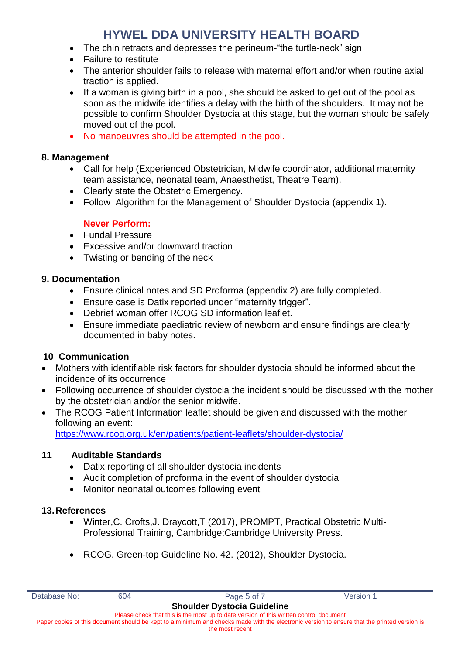- The chin retracts and depresses the perineum-"the turtle-neck" sign
- **•** Failure to restitute
- The anterior shoulder fails to release with maternal effort and/or when routine axial traction is applied.
- If a woman is giving birth in a pool, she should be asked to get out of the pool as soon as the midwife identifies a delay with the birth of the shoulders. It may not be possible to confirm Shoulder Dystocia at this stage, but the woman should be safely moved out of the pool.
- No manoeuvres should be attempted in the pool.

#### **8. Management**

- Call for help (Experienced Obstetrician, Midwife coordinator, additional maternity team assistance, neonatal team, Anaesthetist, Theatre Team).
- Clearly state the Obstetric Emergency.
- Follow Algorithm for the Management of Shoulder Dystocia (appendix 1).

#### **Never Perform:**

- **•** Fundal Pressure
- Excessive and/or downward traction
- Twisting or bending of the neck

#### **9. Documentation**

- Ensure clinical notes and SD Proforma (appendix 2) are fully completed.
- Ensure case is Datix reported under "maternity trigger".
- Debrief woman offer RCOG SD information leaflet.
- Ensure immediate paediatric review of newborn and ensure findings are clearly documented in baby notes.

#### **10 Communication**

- Mothers with identifiable risk factors for shoulder dystocia should be informed about the incidence of its occurrence
- Following occurrence of shoulder dystocia the incident should be discussed with the mother by the obstetrician and/or the senior midwife.
- The RCOG Patient Information leaflet should be given and discussed with the mother following an event:

<https://www.rcog.org.uk/en/patients/patient-leaflets/shoulder-dystocia/>

#### **11 Auditable Standards**

- Datix reporting of all shoulder dystocia incidents
- Audit completion of proforma in the event of shoulder dystocia
- Monitor neonatal outcomes following event

#### **13.References**

- Winter,C. Crofts,J. Draycott,T (2017), PROMPT, Practical Obstetric Multi-Professional Training, Cambridge:Cambridge University Press.
- RCOG. Green-top Guideline No. 42. (2012), Shoulder Dystocia.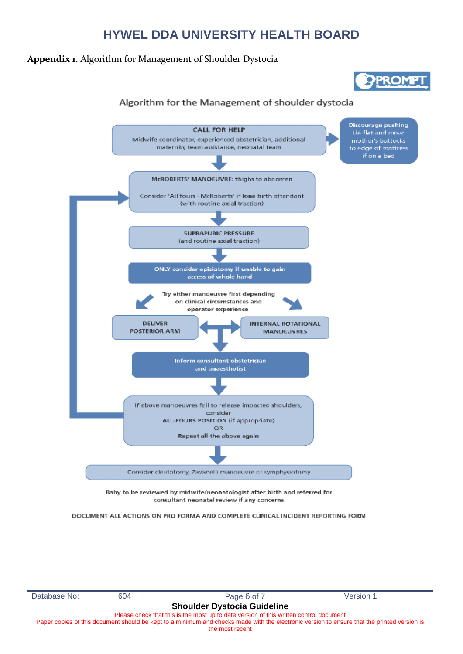#### **Appendix 1**. Algorithm for Management of Shoulder Dystocia



#### Algorithm for the Management of shoulder dystocia



DOCUMENT ALL ACTIONS ON PRO FORMA AND COMPLETE CLINICAL INCIDENT REPORTING FORM